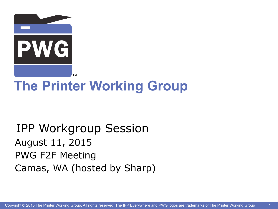

# **The Printer Working Group**

#### IPP Workgroup Session August 11, 2015 PWG F2F Meeting Camas, WA (hosted by Sharp)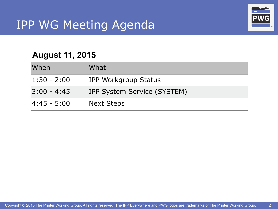

2

#### **August 11, 2015**

| When          | What                        |
|---------------|-----------------------------|
| $1:30 - 2:00$ | IPP Workgroup Status        |
| $3:00 - 4:45$ | IPP System Service (SYSTEM) |
| $4:45 - 5:00$ | <b>Next Steps</b>           |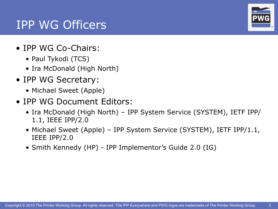#### IPP WG Officers

- IPP WG Co-Chairs:
	- Paul Tykodi (TCS)
	- Ira McDonald (High North)
- IPP WG Secretary:
	- Michael Sweet (Apple)
- IPP WG Document Editors:
	- Ira McDonald (High North) IPP System Service (SYSTEM), IETF IPP/ 1.1, IEEE IPP/2.0
	- Michael Sweet (Apple) IPP System Service (SYSTEM), IETF IPP/1.1, IEEE IPP/2.0
	- Smith Kennedy (HP) IPP Implementor's Guide 2.0 (IG)

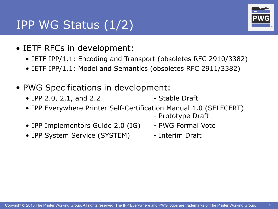#### IPP WG Status (1/2)

- IETF RFCs in development:
	- IETF IPP/1.1: Encoding and Transport (obsoletes RFC 2910/3382)
	- IETF IPP/1.1: Model and Semantics (obsoletes RFC 2911/3382)
- PWG Specifications in development:
	- IPP 2.0, 2.1, and 2.2 Stable Draft
	- IPP Everywhere Printer Self-Certification Manual 1.0 (SELFCERT)
		- Prototype Draft
	- IPP Implementors Guide 2.0 (IG) PWG Formal Vote
	- IPP System Service (SYSTEM) Interim Draft
		-

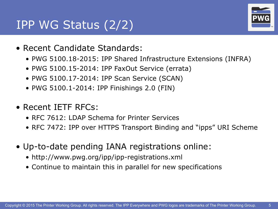#### IPP WG Status (2/2)



- Recent Candidate Standards:
	- PWG 5100.18-2015: IPP Shared Infrastructure Extensions (INFRA)
	- PWG 5100.15-2014: IPP FaxOut Service (errata)
	- PWG 5100.17-2014: IPP Scan Service (SCAN)
	- PWG 5100.1-2014: IPP Finishings 2.0 (FIN)
- Recent IETF RFCs:
	- RFC 7612: LDAP Schema for Printer Services
	- RFC 7472: IPP over HTTPS Transport Binding and "ipps" URI Scheme
- Up-to-date pending IANA registrations online:
	- http://www.pwg.org/ipp/ipp-registrations.xml
	- Continue to maintain this in parallel for new specifications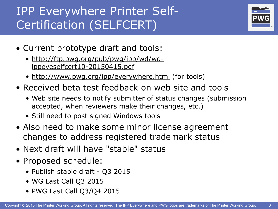## IPP Everywhere Printer Self-Certification (SELFCERT)



- Current prototype draft and tools:
	- [http://ftp.pwg.org/pub/pwg/ipp/wd/wd](http://ftp.pwg.org/pub/pwg/ipp/wd/wd-ippeveselfcert10-20150415.pdf)ippeveselfcert10-20150415.pdf
	- [http://www.pwg.org/ipp/everywhere.html](http://www.pwg.org/ipp/) (for tools)
- Received beta test feedback on web site and tools
	- Web site needs to notify submitter of status changes (submission accepted, when reviewers make their changes, etc.)
	- Still need to post signed Windows tools
- Also need to make some minor license agreement changes to address registered trademark status
- Next draft will have "stable" status
- Proposed schedule:
	- Publish stable draft Q3 2015
	- WG Last Call Q3 2015
	- PWG Last Call Q3/Q4 2015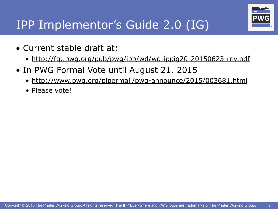

7

### IPP Implementor's Guide 2.0 (IG)

- Current stable draft at:
	- <http://ftp.pwg.org/pub/pwg/ipp/wd/wd-ippig20-20150623-rev.pdf>
- In PWG Formal Vote until August 21, 2015
	- <http://www.pwg.org/pipermail/pwg-announce/2015/003681.html>
	- Please vote!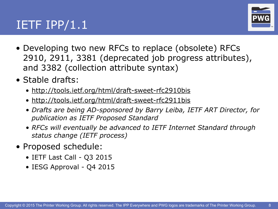#### IETF  $IPP/1.1$



- Developing two new RFCs to replace (obsolete) RFCs 2910, 2911, 3381 (deprecated job progress attributes), and 3382 (collection attribute syntax)
- Stable drafts:
	- <http://tools.ietf.org/html/draft-sweet-rfc2910bis>
	- <http://tools.ietf.org/html/draft-sweet-rfc2911bis>
	- *• Drafts are being AD-sponsored by Barry Leiba, IETF ART Director, for publication as IETF Proposed Standard*
	- *• RFCs will eventually be advanced to IETF Internet Standard through status change (IETF process)*
- Proposed schedule:
	- IETF Last Call Q3 2015
	- IESG Approval Q4 2015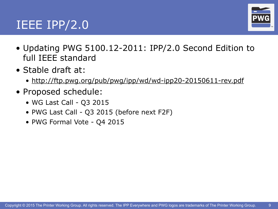#### IEEE  $IPP/2.0$



- Updating PWG 5100.12-2011: IPP/2.0 Second Edition to full IEEE standard
- Stable draft at:
	- <http://ftp.pwg.org/pub/pwg/ipp/wd/wd-ipp20-20150611-rev.pdf>
- Proposed schedule:
	- WG Last Call Q3 2015
	- PWG Last Call Q3 2015 (before next F2F)
	- PWG Formal Vote Q4 2015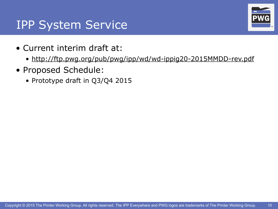#### IPP System Service

- Current interim draft at:
	- [http://ftp.pwg.org/pub/pwg/ipp/wd/wd-ippig20-2015MMDD-rev.pdf](http://ftp.pwg.org/pub/pwg/ipp/wd/wd-ippsystem10-20150315-rev.pdf)
- Proposed Schedule:
	- Prototype draft in Q3/Q4 2015

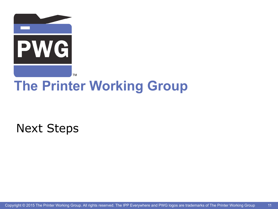

## **The Printer Working Group**

Next Steps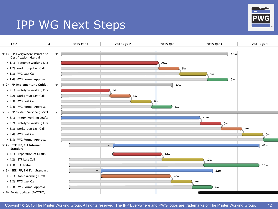# IPP WG Next Steps TPP WG Next Steps

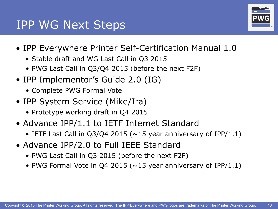#### IPP WG Next Steps



- IPP Everywhere Printer Self-Certification Manual 1.0
	- Stable draft and WG Last Call in Q3 2015
	- PWG Last Call in Q3/Q4 2015 (before the next F2F)
- IPP Implementor's Guide 2.0 (IG)
	- Complete PWG Formal Vote
- IPP System Service (Mike/Ira)
	- Prototype working draft in Q4 2015
- Advance IPP/1.1 to IETF Internet Standard
	- IETF Last Call in  $Q3/Q4$  2015 ( $\sim$ 15 year anniversary of IPP/1.1)
- Advance IPP/2.0 to Full IEEE Standard
	- PWG Last Call in Q3 2015 (before the next F2F)
	- PWG Formal Vote in Q4 2015 ( $\sim$ 15 year anniversary of IPP/1.1)